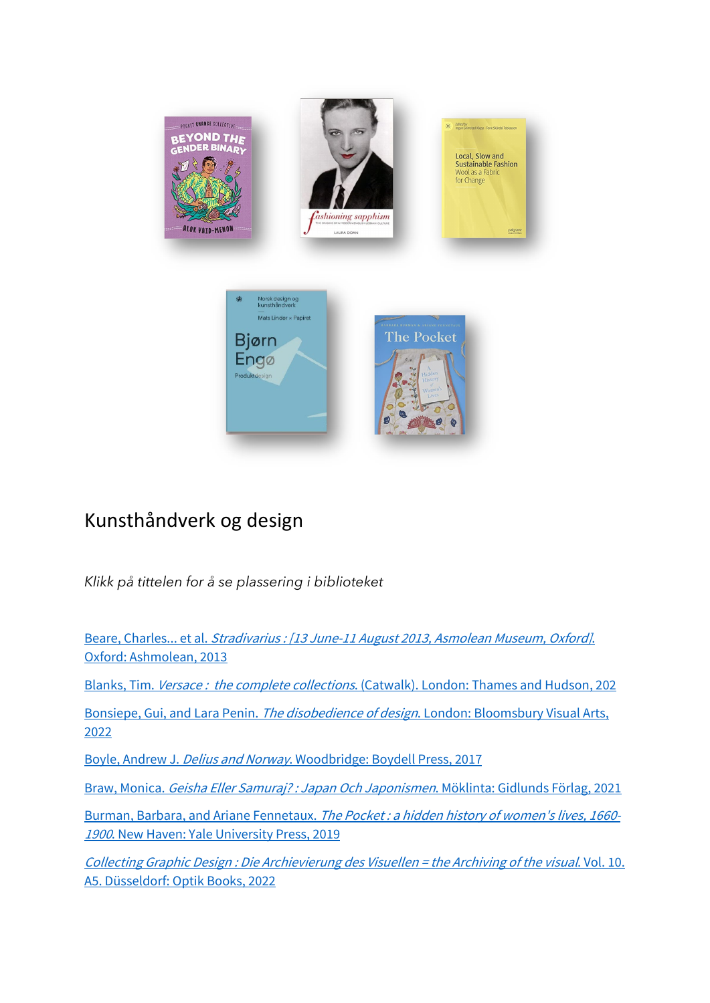

## Kunsthåndverk og design

*Klikk på tittelen for å se plassering i biblioteket* 

Beare, Charles... et al. [Stradivarius : \[13 June-11 August 2013, Asmolean Museum, Oxford\]](https://bibsys-almaprimo.hosted.exlibrisgroup.com/permalink/f/1n8chvd/BIBSYS_ILS71643248060002201). [Oxford: Ashmolean, 2013](https://bibsys-almaprimo.hosted.exlibrisgroup.com/permalink/f/1n8chvd/BIBSYS_ILS71643248060002201)

Blanks, Tim. Versace: the complete collections[. \(Catwalk\). London: Thames and Hudson, 202](https://bibsys-almaprimo.hosted.exlibrisgroup.com/permalink/f/1n8chvd/BIBSYS_ILS71642248990002201)

Bonsiepe, Gui, and Lara Penin. The disobedience of design[. London: Bloomsbury Visual Arts,](https://bibsys-almaprimo.hosted.exlibrisgroup.com/permalink/f/17b6085/BIBSYS_ILS71641916580002201)  [2022](https://bibsys-almaprimo.hosted.exlibrisgroup.com/permalink/f/17b6085/BIBSYS_ILS71641916580002201)

Boyle, Andrew J. Delius and Norway[. Woodbridge: Boydell Press, 2017](https://bibsys-almaprimo.hosted.exlibrisgroup.com/permalink/f/1n8chvd/BIBSYS_ILS71546649900002201)

Braw, Monica. [Geisha Eller Samuraj? : Japan Och Japonismen](https://bibsys-almaprimo.hosted.exlibrisgroup.com/permalink/f/1n8chvd/BIBSYS_ILS71642561530002201). Möklinta: Gidlunds Förlag, 2021

Burman, Barbara, and Ariane Fennetaux. The Pocket: a hidden history of women's lives, 1660-<sup>1900</sup>[. New Haven: Yale University Press, 2019](https://bibsys-almaprimo.hosted.exlibrisgroup.com/permalink/f/1n8chvd/BIBSYS_ILS71607019220002201)

[Collecting Graphic Design : Die Archievierung des Visuellen = the Archiving of the visual](https://bibsys-almaprimo.hosted.exlibrisgroup.com/permalink/f/1n8chvd/BIBSYS_ILS71641809250002201). Vol. 10. [A5. Düsseldorf: Optik Books, 2022](https://bibsys-almaprimo.hosted.exlibrisgroup.com/permalink/f/1n8chvd/BIBSYS_ILS71641809250002201)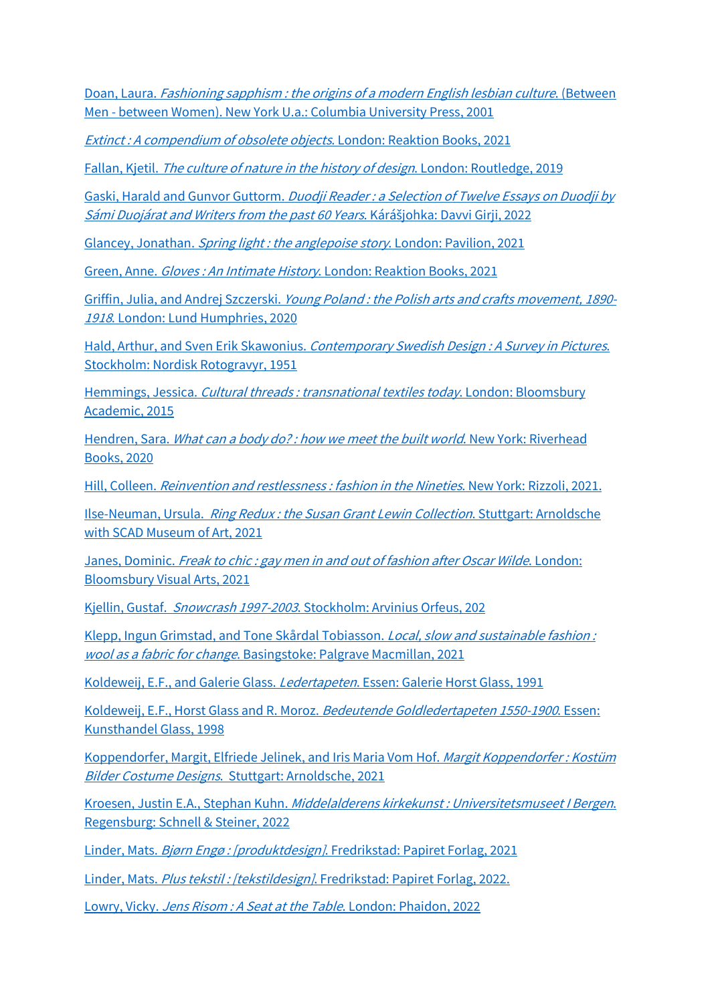Doan, Laura. *[Fashioning sapphism : the origins of a modern English lesbian culture](https://bibsys-almaprimo.hosted.exlibrisgroup.com/permalink/f/17b6085/BIBSYS_ILS71540124850002201)*. (Between [Men - between Women\). New York U.a.: Columbia University Press, 2001](https://bibsys-almaprimo.hosted.exlibrisgroup.com/permalink/f/17b6085/BIBSYS_ILS71540124850002201)

[Extinct : A compendium of obsolete objects](https://bibsys-almaprimo.hosted.exlibrisgroup.com/permalink/f/1n8chvd/BIBSYS_ILS71641749820002201). London: Reaktion Books, 2021

Fallan, Kjetil. [The culture of nature in the history of design](https://bibsys-almaprimo.hosted.exlibrisgroup.com/permalink/f/1n8chvd/BIBSYS_ILS71576279900002201). London: Routledge, 2019

Gaski, Harald and Gunvor Guttorm. Duodji Reader: a Selection of Twelve Essays on Duodji by [Sámi Duojárat and Writers from the past 60 Years](https://bibsys-almaprimo.hosted.exlibrisgroup.com/permalink/f/1n8chvd/BIBSYS_ILS71641925280002201). Kárášjohka: Davvi Girji, 2022

Glancey, Jonathan. [Spring light : the anglepoise story](https://bibsys-almaprimo.hosted.exlibrisgroup.com/permalink/f/1n8chvd/BIBSYS_ILS71642020770002201). London: Pavilion, 2021

Green, Anne. Gloves : An Intimate History[. London: Reaktion Books, 2021](https://bibsys-almaprimo.hosted.exlibrisgroup.com/permalink/f/1n8chvd/BIBSYS_ILS71641916130002201)

Griffin, Julia, and Andrej Szczerski. Young Poland: the Polish arts and crafts movement, 1890-<sup>1918</sup>[. London: Lund Humphries, 2020](https://bibsys-almaprimo.hosted.exlibrisgroup.com/permalink/f/1n8chvd/BIBSYS_ILS71643118170002201)

Hald, Arthur, and Sven Erik Skawonius. [Contemporary Swedish Design : A Survey in Pictures](https://bibsys-almaprimo.hosted.exlibrisgroup.com/permalink/f/1n8chvd/BIBSYS_ILS71472607720002201). [Stockholm: Nordisk Rotogravyr, 1951](https://bibsys-almaprimo.hosted.exlibrisgroup.com/permalink/f/1n8chvd/BIBSYS_ILS71472607720002201)

Hemmings, Jessica. [Cultural threads : transnational textiles today](https://bibsys-almaprimo.hosted.exlibrisgroup.com/permalink/f/1n8chvd/BIBSYS_ILS71494122920002201). London: Bloomsbury [Academic, 2015](https://bibsys-almaprimo.hosted.exlibrisgroup.com/permalink/f/1n8chvd/BIBSYS_ILS71494122920002201)

Hendren, Sara. What can a body do?: how we meet the built world. New York: Riverhead [Books, 2020](https://bibsys-almaprimo.hosted.exlibrisgroup.com/permalink/f/1n8chvd/BIBSYS_ILS71641879390002201)

Hill, Colleen. [Reinvention and restlessness : fashion in the Nineties](https://bibsys-almaprimo.hosted.exlibrisgroup.com/permalink/f/17b6085/BIBSYS_ILS71643208040002201). New York: Rizzoli, 2021.

Ilse-Neuman, Ursula. [Ring Redux : the Susan Grant Lewin Collection](https://bibsys-almaprimo.hosted.exlibrisgroup.com/permalink/f/1n8chvd/BIBSYS_ILS71641918290002201). Stuttgart: Arnoldsche [with SCAD Museum of Art, 2021](https://bibsys-almaprimo.hosted.exlibrisgroup.com/permalink/f/1n8chvd/BIBSYS_ILS71641918290002201)

Janes, Dominic. Freak to chic: gay men in and out of fashion after Oscar Wilde. London: [Bloomsbury Visual Arts, 2021](https://bibsys-almaprimo.hosted.exlibrisgroup.com/permalink/f/17b6085/BIBSYS_ILS71643168220002201)

Kjellin, Gustaf. Snowcrash 1997-2003[. Stockholm: Arvinius Orfeus, 202](https://bibsys-almaprimo.hosted.exlibrisgroup.com/permalink/f/1n8chvd/BIBSYS_ILS71641799540002201)

[Klepp, Ingun Grimstad, and Tone Skårdal Tobiasson.](https://bibsys-almaprimo.hosted.exlibrisgroup.com/permalink/f/1n8chvd/BIBSYS_ILS71644234350002201) Local, slow and sustainable fashion : wool as a fabric for change[. Basingstoke: Palgrave Macmillan, 2021](https://bibsys-almaprimo.hosted.exlibrisgroup.com/permalink/f/1n8chvd/BIBSYS_ILS71644234350002201)

[Koldeweij, E.F., and Galerie Glass.](https://bibsys-almaprimo.hosted.exlibrisgroup.com/permalink/f/1n8chvd/BIBSYS_ILS71645274210002201) Ledertapeten. Essen: Galerie Horst Glass, 1991

[Koldeweij, E.F., Horst Glass and R. Moroz.](https://bibsys-almaprimo.hosted.exlibrisgroup.com/permalink/f/1n8chvd/BIBSYS_ILS71642501600002201) Bedeutende Goldledertapeten 1550-1900. Essen: [Kunsthandel Glass, 1998](https://bibsys-almaprimo.hosted.exlibrisgroup.com/permalink/f/1n8chvd/BIBSYS_ILS71642501600002201)

[Koppendorfer, Margit, Elfriede Jelinek, and Iris Maria Vom Hof.](https://bibsys-almaprimo.hosted.exlibrisgroup.com/permalink/f/1n8chvd/BIBSYS_ILS71641829430002201) Margit Koppendorfer: Kostüm Bilder Costume Designs[. Stuttgart: Arnoldsche, 2021](https://bibsys-almaprimo.hosted.exlibrisgroup.com/permalink/f/1n8chvd/BIBSYS_ILS71641829430002201)

Kroesen, Justin E.A., Stephan Kuhn. [Middelalderens kirkekunst : Universitetsmuseet I Bergen](https://bibsys-almaprimo.hosted.exlibrisgroup.com/permalink/f/1n8chvd/BIBSYS_ILS71641162200002201). [Regensburg: Schnell & Steiner, 2022](https://bibsys-almaprimo.hosted.exlibrisgroup.com/permalink/f/1n8chvd/BIBSYS_ILS71641162200002201)

Linder, Mats. Bjørn Engø : [produktdesign][. Fredrikstad: Papiret Forlag, 2021](https://bibsys-almaprimo.hosted.exlibrisgroup.com/permalink/f/1n8chvd/BIBSYS_ILS71638752050002201)

Linder, Mats. Plus tekstil: [tekstildesign][. Fredrikstad: Papiret Forlag, 2022.](https://bibsys-almaprimo.hosted.exlibrisgroup.com/permalink/f/1n8chvd/BIBSYS_ILS71643989270002201)

Lowry, Vicky. Jens Risom : A Seat at the Table[. London: Phaidon, 2022](https://bibsys-almaprimo.hosted.exlibrisgroup.com/permalink/f/1n8chvd/BIBSYS_ILS71641849410002201)